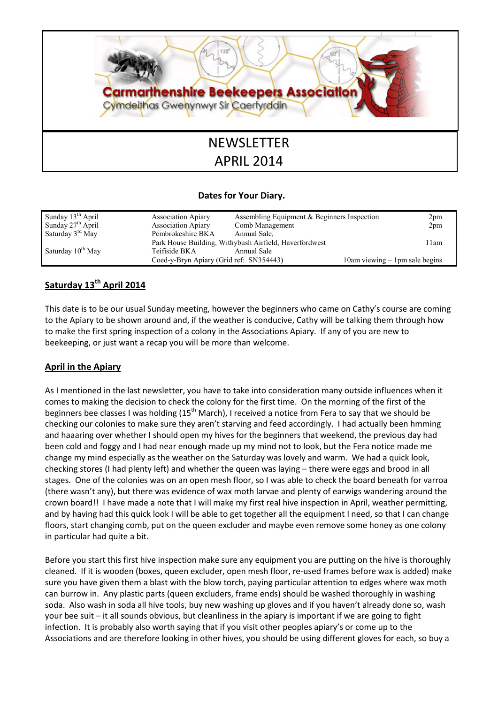

# APRIL 2014

### Dates for Your Diary.

| Sunday 13 <sup>th</sup> April | <b>Association Apiary</b>               | Assembling Equipment $&$ Beginners Inspection          | 2pm                                 |
|-------------------------------|-----------------------------------------|--------------------------------------------------------|-------------------------------------|
| Sunday $27th$ April           | <b>Association Apiary</b>               | Comb Management                                        | 2pm                                 |
| Saturday $3rd$ May            | Pembrokeshire BKA                       | Annual Sale,                                           |                                     |
|                               |                                         | Park House Building, Withybush Airfield, Haverfordwest | 11am                                |
| Saturday 10 <sup>th</sup> May | Teifiside BKA                           | Annual Sale                                            |                                     |
|                               | Coed-y-Bryn Apiary (Grid ref: SN354443) |                                                        | $10$ am viewing $-1$ pm sale begins |

# Saturday 13<sup>th</sup> April 2014

This date is to be our usual Sunday meeting, however the beginners who came on Cathy's course are coming to the Apiary to be shown around and, if the weather is conducive, Cathy will be talking them through how to make the first spring inspection of a colony in the Associations Apiary. If any of you are new to beekeeping, or just want a recap you will be more than welcome.

## April in the Apiary

As I mentioned in the last newsletter, you have to take into consideration many outside influences when it comes to making the decision to check the colony for the first time. On the morning of the first of the beginners bee classes I was holding (15<sup>th</sup> March), I received a notice from Fera to say that we should be checking our colonies to make sure they aren't starving and feed accordingly. I had actually been hmming and haaaring over whether I should open my hives for the beginners that weekend, the previous day had been cold and foggy and I had near enough made up my mind not to look, but the Fera notice made me change my mind especially as the weather on the Saturday was lovely and warm. We had a quick look, checking stores (I had plenty left) and whether the queen was laying – there were eggs and brood in all stages. One of the colonies was on an open mesh floor, so I was able to check the board beneath for varroa (there wasn't any), but there was evidence of wax moth larvae and plenty of earwigs wandering around the crown board!! I have made a note that I will make my first real hive inspection in April, weather permitting, and by having had this quick look I will be able to get together all the equipment I need, so that I can change floors, start changing comb, put on the queen excluder and maybe even remove some honey as one colony in particular had quite a bit.

Before you start this first hive inspection make sure any equipment you are putting on the hive is thoroughly cleaned. If it is wooden (boxes, queen excluder, open mesh floor, re-used frames before wax is added) make sure you have given them a blast with the blow torch, paying particular attention to edges where wax moth can burrow in. Any plastic parts (queen excluders, frame ends) should be washed thoroughly in washing soda. Also wash in soda all hive tools, buy new washing up gloves and if you haven't already done so, wash your bee suit – it all sounds obvious, but cleanliness in the apiary is important if we are going to fight infection. It is probably also worth saying that if you visit other peoples apiary's or come up to the Associations and are therefore looking in other hives, you should be using different gloves for each, so buy a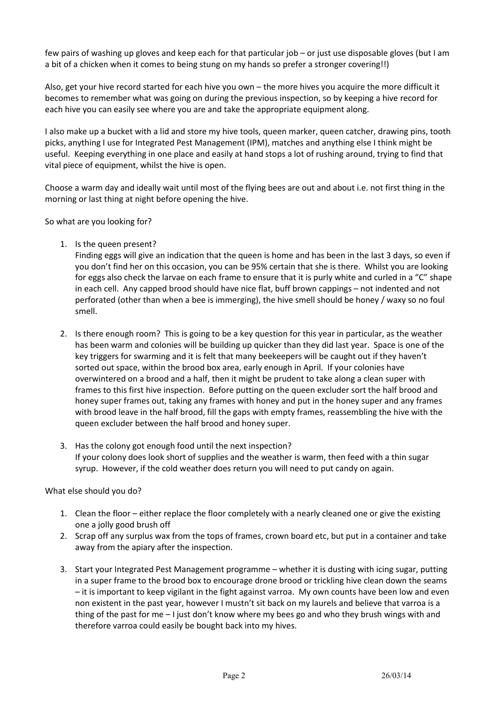few pairs of washing up gloves and keep each for that particular job – or just use disposable gloves (but I am a bit of a chicken when it comes to being stung on my hands so prefer a stronger covering!!)

Also, get your hive record started for each hive you own – the more hives you acquire the more difficult it becomes to remember what was going on during the previous inspection, so by keeping a hive record for each hive you can easily see where you are and take the appropriate equipment along.

I also make up a bucket with a lid and store my hive tools, queen marker, queen catcher, drawing pins, tooth picks, anything I use for Integrated Pest Management (IPM), matches and anything else I think might be useful. Keeping everything in one place and easily at hand stops a lot of rushing around, trying to find that vital piece of equipment, whilst the hive is open.

Choose a warm day and ideally wait until most of the flying bees are out and about i.e. not first thing in the morning or last thing at night before opening the hive.

So what are you looking for?

1. Is the queen present?

Finding eggs will give an indication that the queen is home and has been in the last 3 days, so even if you don't find her on this occasion, you can be 95% certain that she is there. Whilst you are looking for eggs also check the larvae on each frame to ensure that it is purly white and curled in a "C" shape in each cell. Any capped brood should have nice flat, buff brown cappings – not indented and not perforated (other than when a bee is immerging), the hive smell should be honey / waxy so no foul smell.

- 2. Is there enough room? This is going to be a key question for this year in particular, as the weather has been warm and colonies will be building up quicker than they did last year. Space is one of the key triggers for swarming and it is felt that many beekeepers will be caught out if they haven't sorted out space, within the brood box area, early enough in April. If your colonies have overwintered on a brood and a half, then it might be prudent to take along a clean super with frames to this first hive inspection. Before putting on the queen excluder sort the half brood and honey super frames out, taking any frames with honey and put in the honey super and any frames with brood leave in the half brood, fill the gaps with empty frames, reassembling the hive with the queen excluder between the half brood and honey super.
- 3. Has the colony got enough food until the next inspection? If your colony does look short of supplies and the weather is warm, then feed with a thin sugar syrup. However, if the cold weather does return you will need to put candy on again.

What else should you do?

- 1. Clean the floor either replace the floor completely with a nearly cleaned one or give the existing one a jolly good brush off
- 2. Scrap off any surplus wax from the tops of frames, crown board etc, but put in a container and take away from the apiary after the inspection.
- 3. Start your Integrated Pest Management programme whether it is dusting with icing sugar, putting in a super frame to the brood box to encourage drone brood or trickling hive clean down the seams – it is important to keep vigilant in the fight against varroa. My own counts have been low and even non existent in the past year, however I mustn't sit back on my laurels and believe that varroa is a thing of the past for me – I just don't know where my bees go and who they brush wings with and therefore varroa could easily be bought back into my hives.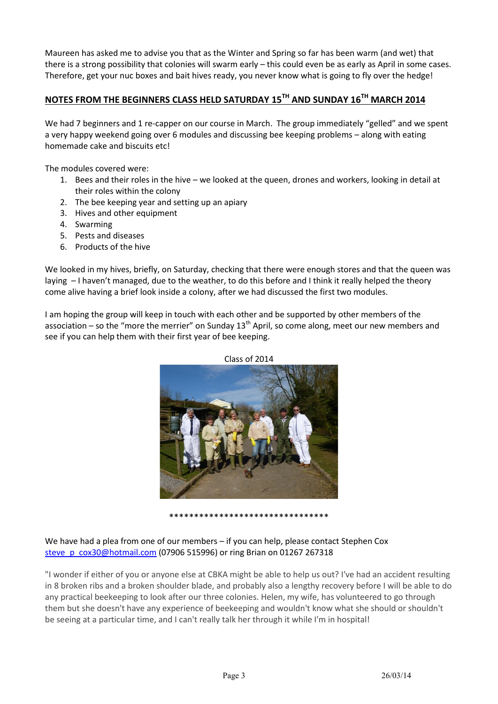Maureen has asked me to advise you that as the Winter and Spring so far has been warm (and wet) that there is a strong possibility that colonies will swarm early – this could even be as early as April in some cases. Therefore, get your nuc boxes and bait hives ready, you never know what is going to fly over the hedge!

# NOTES FROM THE BEGINNERS CLASS HELD SATURDAY 15<sup>TH</sup> AND SUNDAY 16<sup>TH</sup> MARCH 2014

We had 7 beginners and 1 re-capper on our course in March. The group immediately "gelled" and we spent a very happy weekend going over 6 modules and discussing bee keeping problems – along with eating homemade cake and biscuits etc!

The modules covered were:

- 1. Bees and their roles in the hive we looked at the queen, drones and workers, looking in detail at their roles within the colony
- 2. The bee keeping year and setting up an apiary
- 3. Hives and other equipment
- 4. Swarming
- 5. Pests and diseases
- 6. Products of the hive

We looked in my hives, briefly, on Saturday, checking that there were enough stores and that the queen was laying – I haven't managed, due to the weather, to do this before and I think it really helped the theory come alive having a brief look inside a colony, after we had discussed the first two modules.

I am hoping the group will keep in touch with each other and be supported by other members of the association – so the "more the merrier" on Sunday  $13<sup>th</sup>$  April, so come along, meet our new members and see if you can help them with their first year of bee keeping.



\*\*\*\*\*\*\*\*\*\*\*\*\*\*\*\*\*\*\*\*\*\*\*\*\*\*\*\*\*\*\*\*

#### We have had a plea from one of our members – if you can help, please contact Stephen Cox steve\_p\_cox30@hotmail.com (07906 515996) or ring Brian on 01267 267318

"I wonder if either of you or anyone else at CBKA might be able to help us out? I've had an accident resulting in 8 broken ribs and a broken shoulder blade, and probably also a lengthy recovery before I will be able to do any practical beekeeping to look after our three colonies. Helen, my wife, has volunteered to go through them but she doesn't have any experience of beekeeping and wouldn't know what she should or shouldn't be seeing at a particular time, and I can't really talk her through it while I'm in hospital!